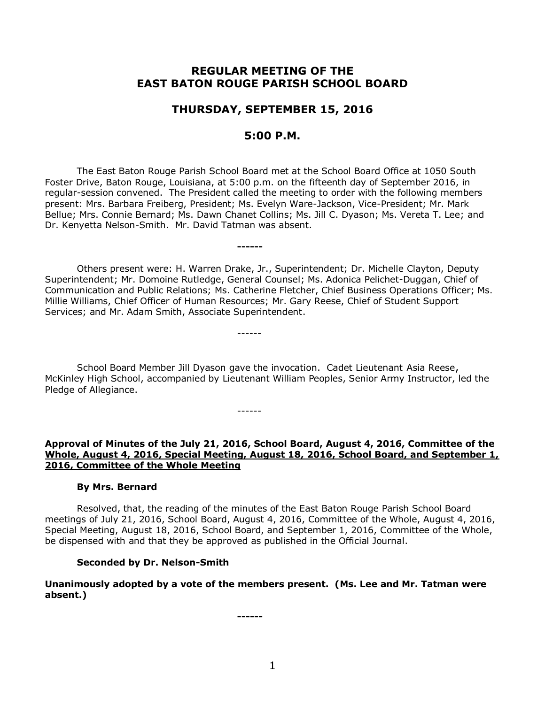# **REGULAR MEETING OF THE EAST BATON ROUGE PARISH SCHOOL BOARD**

# **THURSDAY, SEPTEMBER 15, 2016**

# **5:00 P.M.**

The East Baton Rouge Parish School Board met at the School Board Office at 1050 South Foster Drive, Baton Rouge, Louisiana, at 5:00 p.m. on the fifteenth day of September 2016, in regular-session convened. The President called the meeting to order with the following members present: Mrs. Barbara Freiberg, President; Ms. Evelyn Ware-Jackson, Vice-President; Mr. Mark Bellue; Mrs. Connie Bernard; Ms. Dawn Chanet Collins; Ms. Jill C. Dyason; Ms. Vereta T. Lee; and Dr. Kenyetta Nelson-Smith. Mr. David Tatman was absent.

**------**

------

------

Others present were: H. Warren Drake, Jr., Superintendent; Dr. Michelle Clayton, Deputy Superintendent; Mr. Domoine Rutledge, General Counsel; Ms. Adonica Pelichet-Duggan, Chief of Communication and Public Relations; Ms. Catherine Fletcher, Chief Business Operations Officer; Ms. Millie Williams, Chief Officer of Human Resources; Mr. Gary Reese, Chief of Student Support Services; and Mr. Adam Smith, Associate Superintendent.

School Board Member Jill Dyason gave the invocation. Cadet Lieutenant Asia Reese, McKinley High School, accompanied by Lieutenant William Peoples, Senior Army Instructor, led the Pledge of Allegiance.

**Approval of Minutes of the July 21, 2016, School Board, August 4, 2016, Committee of the Whole, August 4, 2016, Special Meeting, August 18, 2016, School Board, and September 1, 2016, Committee of the Whole Meeting**

#### **By Mrs. Bernard**

Resolved, that, the reading of the minutes of the East Baton Rouge Parish School Board meetings of July 21, 2016, School Board, August 4, 2016, Committee of the Whole, August 4, 2016, Special Meeting, August 18, 2016, School Board, and September 1, 2016, Committee of the Whole, be dispensed with and that they be approved as published in the Official Journal.

#### **Seconded by Dr. Nelson-Smith**

**Unanimously adopted by a vote of the members present. (Ms. Lee and Mr. Tatman were absent.)**

**------**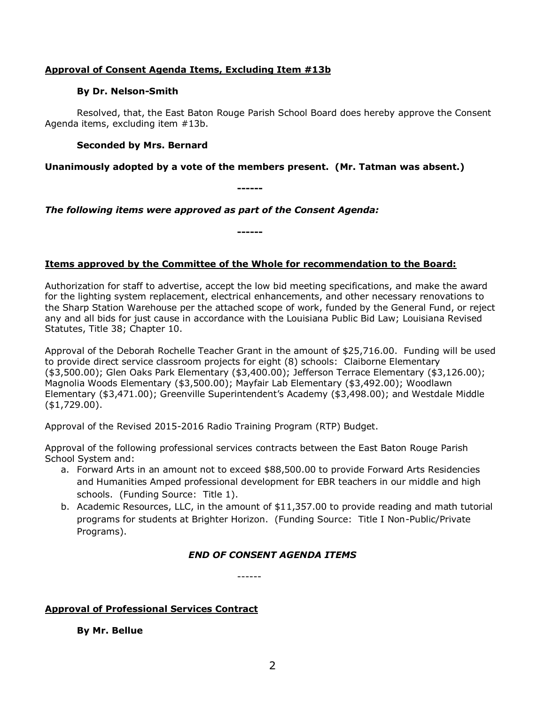## **Approval of Consent Agenda Items, Excluding Item #13b**

### **By Dr. Nelson-Smith**

Resolved, that, the East Baton Rouge Parish School Board does hereby approve the Consent Agenda items, excluding item #13b.

## **Seconded by Mrs. Bernard**

## **Unanimously adopted by a vote of the members present. (Mr. Tatman was absent.)**

**------**

*The following items were approved as part of the Consent Agenda:*

**------**

# **Items approved by the Committee of the Whole for recommendation to the Board:**

Authorization for staff to advertise, accept the low bid meeting specifications, and make the award for the lighting system replacement, electrical enhancements, and other necessary renovations to the Sharp Station Warehouse per the attached scope of work, funded by the General Fund, or reject any and all bids for just cause in accordance with the Louisiana Public Bid Law; Louisiana Revised Statutes, Title 38; Chapter 10.

Approval of the Deborah Rochelle Teacher Grant in the amount of \$25,716.00. Funding will be used to provide direct service classroom projects for eight (8) schools: Claiborne Elementary (\$3,500.00); Glen Oaks Park Elementary (\$3,400.00); Jefferson Terrace Elementary (\$3,126.00); Magnolia Woods Elementary (\$3,500.00); Mayfair Lab Elementary (\$3,492.00); Woodlawn Elementary (\$3,471.00); Greenville Superintendent's Academy (\$3,498.00); and Westdale Middle (\$1,729.00).

Approval of the Revised 2015-2016 Radio Training Program (RTP) Budget.

Approval of the following professional services contracts between the East Baton Rouge Parish School System and:

- a. Forward Arts in an amount not to exceed \$88,500.00 to provide Forward Arts Residencies and Humanities Amped professional development for EBR teachers in our middle and high schools. (Funding Source: Title 1).
- b. Academic Resources, LLC, in the amount of \$11,357.00 to provide reading and math tutorial programs for students at Brighter Horizon. (Funding Source: Title I Non-Public/Private Programs).

# *END OF CONSENT AGENDA ITEMS*

------

# **Approval of Professional Services Contract**

**By Mr. Bellue**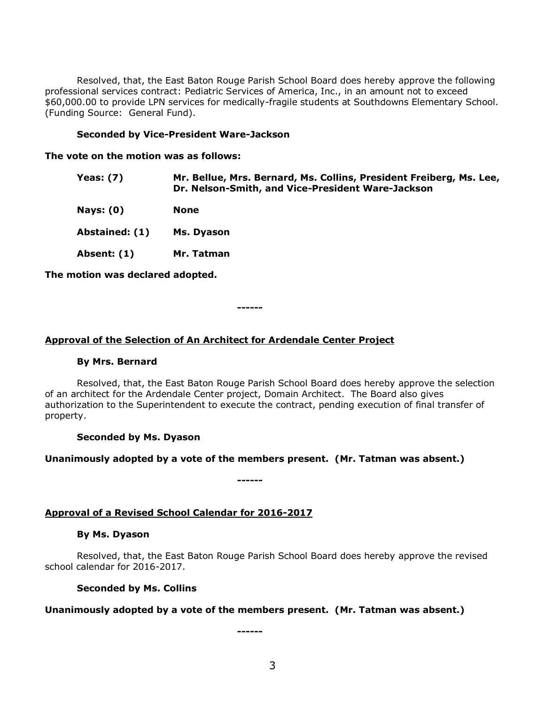Resolved, that, the East Baton Rouge Parish School Board does hereby approve the following professional services contract: Pediatric Services of America, Inc., in an amount not to exceed \$60,000.00 to provide LPN services for medically-fragile students at Southdowns Elementary School. (Funding Source: General Fund).

### **Seconded by Vice-President Ware-Jackson**

**The vote on the motion was as follows:**

| <b>Yeas: (7)</b> | Mr. Bellue, Mrs. Bernard, Ms. Collins, President Freiberg, Ms. Lee,<br>Dr. Nelson-Smith, and Vice-President Ware-Jackson |
|------------------|--------------------------------------------------------------------------------------------------------------------------|
| Nays: $(0)$      | <b>None</b>                                                                                                              |
| Abstained: (1)   | Ms. Dyason                                                                                                               |
| Absent: (1)      | Mr. Tatman                                                                                                               |

**The motion was declared adopted.**

**------**

### **Approval of the Selection of An Architect for Ardendale Center Project**

#### **By Mrs. Bernard**

Resolved, that, the East Baton Rouge Parish School Board does hereby approve the selection of an architect for the Ardendale Center project, Domain Architect. The Board also gives authorization to the Superintendent to execute the contract, pending execution of final transfer of property.

### **Seconded by Ms. Dyason**

### **Unanimously adopted by a vote of the members present. (Mr. Tatman was absent.)**

**------**

### **Approval of a Revised School Calendar for 2016-2017**

#### **By Ms. Dyason**

Resolved, that, the East Baton Rouge Parish School Board does hereby approve the revised school calendar for 2016-2017.

### **Seconded by Ms. Collins**

### **Unanimously adopted by a vote of the members present. (Mr. Tatman was absent.)**

**------**